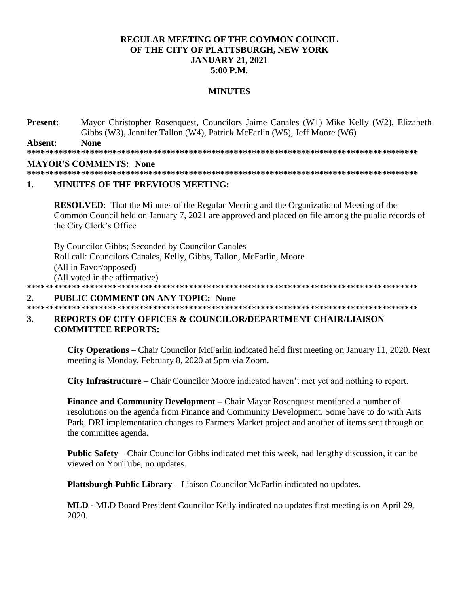# **REGULAR MEETING OF THE COMMON COUNCIL OF THE CITY OF PLATTSBURGH, NEW YORK JANUARY 21, 2021 5:00 P.M.**

### **MINUTES**

**Present:** Mayor Christopher Rosenquest, Councilors Jaime Canales (W1) Mike Kelly (W2), Elizabeth Gibbs (W3), Jennifer Tallon (W4), Patrick McFarlin (W5), Jeff Moore (W6)

**Absent: None \*\*\*\*\*\*\*\*\*\*\*\*\*\*\*\*\*\*\*\*\*\*\*\*\*\*\*\*\*\*\*\*\*\*\*\*\*\*\*\*\*\*\*\*\*\*\*\*\*\*\*\*\*\*\*\*\*\*\*\*\*\*\*\*\*\*\*\*\*\*\*\*\*\*\*\*\*\*\*\*\*\*\*\*\*\*\***

# **MAYOR'S COMMENTS: None**

**\*\*\*\*\*\*\*\*\*\*\*\*\*\*\*\*\*\*\*\*\*\*\*\*\*\*\*\*\*\*\*\*\*\*\*\*\*\*\*\*\*\*\*\*\*\*\*\*\*\*\*\*\*\*\*\*\*\*\*\*\*\*\*\*\*\*\*\*\*\*\*\*\*\*\*\*\*\*\*\*\*\*\*\*\*\*\***

# **1. MINUTES OF THE PREVIOUS MEETING:**

**RESOLVED**: That the Minutes of the Regular Meeting and the Organizational Meeting of the Common Council held on January 7, 2021 are approved and placed on file among the public records of the City Clerk's Office

By Councilor Gibbs; Seconded by Councilor Canales Roll call: Councilors Canales, Kelly, Gibbs, Tallon, McFarlin, Moore (All in Favor/opposed) (All voted in the affirmative) **\*\*\*\*\*\*\*\*\*\*\*\*\*\*\*\*\*\*\*\*\*\*\*\*\*\*\*\*\*\*\*\*\*\*\*\*\*\*\*\*\*\*\*\*\*\*\*\*\*\*\*\*\*\*\*\*\*\*\*\*\*\*\*\*\*\*\*\*\*\*\*\*\*\*\*\*\*\*\*\*\*\*\*\*\*\*\***

# **2. PUBLIC COMMENT ON ANY TOPIC: None**

**\*\*\*\*\*\*\*\*\*\*\*\*\*\*\*\*\*\*\*\*\*\*\*\*\*\*\*\*\*\*\*\*\*\*\*\*\*\*\*\*\*\*\*\*\*\*\*\*\*\*\*\*\*\*\*\*\*\*\*\*\*\*\*\*\*\*\*\*\*\*\*\*\*\*\*\*\*\*\*\*\*\*\*\*\*\*\*** 

# **3. REPORTS OF CITY OFFICES & COUNCILOR/DEPARTMENT CHAIR/LIAISON COMMITTEE REPORTS:**

**City Operations** – Chair Councilor McFarlin indicated held first meeting on January 11, 2020. Next meeting is Monday, February 8, 2020 at 5pm via Zoom.

**City Infrastructure** – Chair Councilor Moore indicated haven't met yet and nothing to report.

**Finance and Community Development –** Chair Mayor Rosenquest mentioned a number of resolutions on the agenda from Finance and Community Development. Some have to do with Arts Park, DRI implementation changes to Farmers Market project and another of items sent through on the committee agenda.

**Public Safety** – Chair Councilor Gibbs indicated met this week, had lengthy discussion, it can be viewed on YouTube, no updates.

**Plattsburgh Public Library** – Liaison Councilor McFarlin indicated no updates.

**MLD -** MLD Board President Councilor Kelly indicated no updates first meeting is on April 29, 2020.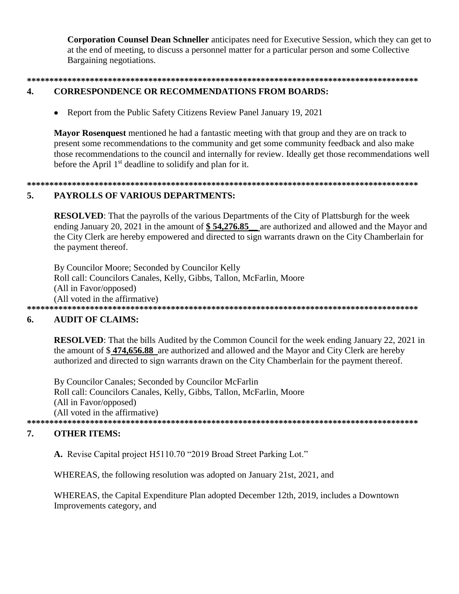**Corporation Counsel Dean Schneller** anticipates need for Executive Session, which they can get to at the end of meeting, to discuss a personnel matter for a particular person and some Collective Bargaining negotiations.

### $\overline{4}$ .

# **CORRESPONDENCE OR RECOMMENDATIONS FROM BOARDS:**

Report from the Public Safety Citizens Review Panel January 19, 2021

**Mayor Rosenquest** mentioned he had a fantastic meeting with that group and they are on track to present some recommendations to the community and get some community feedback and also make those recommendations to the council and internally for review. Ideally get those recommendations well before the April 1<sup>st</sup> deadline to solidify and plan for it.

# 

### 5. PAYROLLS OF VARIOUS DEPARTMENTS:

**RESOLVED:** That the payrolls of the various Departments of the City of Plattsburgh for the week ending January 20, 2021 in the amount of  $$54,276.85$  are authorized and allowed and the Mayor and the City Clerk are hereby empowered and directed to sign warrants drawn on the City Chamberlain for the payment thereof.

By Councilor Moore; Seconded by Councilor Kelly Roll call: Councilors Canales, Kelly, Gibbs, Tallon, McFarlin, Moore (All in Favor/opposed) (All voted in the affirmative) 

#### **AUDIT OF CLAIMS:** 6.

**RESOLVED:** That the bills Audited by the Common Council for the week ending January 22, 2021 in the amount of \$474,656.88 are authorized and allowed and the Mayor and City Clerk are hereby authorized and directed to sign warrants drawn on the City Chamberlain for the payment thereof.

By Councilor Canales; Seconded by Councilor McFarlin Roll call: Councilors Canales, Kelly, Gibbs, Tallon, McFarlin, Moore (All in Favor/opposed) (All voted in the affirmative) 

### 7. **OTHER ITEMS:**

A. Revise Capital project H5110.70 "2019 Broad Street Parking Lot."

WHEREAS, the following resolution was adopted on January 21st, 2021, and

WHEREAS, the Capital Expenditure Plan adopted December 12th, 2019, includes a Downtown Improvements category, and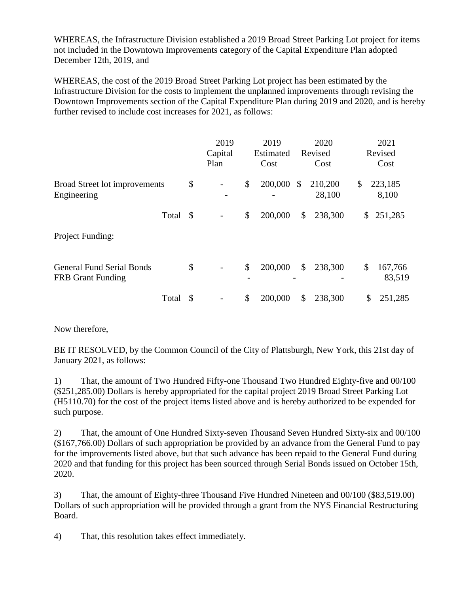WHEREAS, the Infrastructure Division established a 2019 Broad Street Parking Lot project for items not included in the Downtown Improvements category of the Capital Expenditure Plan adopted December 12th, 2019, and

WHEREAS, the cost of the 2019 Broad Street Parking Lot project has been estimated by the Infrastructure Division for the costs to implement the unplanned improvements through revising the Downtown Improvements section of the Capital Expenditure Plan during 2019 and 2020, and is hereby further revised to include cost increases for 2021, as follows:

|                                                              |      | 2019<br>Capital<br>Plan |                                | 2019<br>Estimated<br>Cost | 2020<br>Revised<br>Cost | 2021<br>Revised<br>Cost |
|--------------------------------------------------------------|------|-------------------------|--------------------------------|---------------------------|-------------------------|-------------------------|
| Broad Street lot improvements<br>Engineering                 | \$   |                         | \$                             | 200,000                   | \$<br>210,200<br>28,100 | \$<br>223,185<br>8,100  |
| Total                                                        | - \$ |                         | \$                             | 200,000                   | \$<br>238,300           | \$<br>251,285           |
| Project Funding:                                             |      |                         |                                |                           |                         |                         |
| <b>General Fund Serial Bonds</b><br><b>FRB</b> Grant Funding | \$   |                         | \$<br>$\overline{\phantom{0}}$ | 200,000                   | \$<br>238,300           | \$<br>167,766<br>83,519 |
| Total                                                        | -S   |                         | \$                             | 200,000                   | \$<br>238,300           | \$<br>251,285           |

Now therefore,

BE IT RESOLVED, by the Common Council of the City of Plattsburgh, New York, this 21st day of January 2021, as follows:

1) That, the amount of Two Hundred Fifty-one Thousand Two Hundred Eighty-five and 00/100 (\$251,285.00) Dollars is hereby appropriated for the capital project 2019 Broad Street Parking Lot (H5110.70) for the cost of the project items listed above and is hereby authorized to be expended for such purpose.

2) That, the amount of One Hundred Sixty-seven Thousand Seven Hundred Sixty-six and 00/100 (\$167,766.00) Dollars of such appropriation be provided by an advance from the General Fund to pay for the improvements listed above, but that such advance has been repaid to the General Fund during 2020 and that funding for this project has been sourced through Serial Bonds issued on October 15th, 2020.

3) That, the amount of Eighty-three Thousand Five Hundred Nineteen and 00/100 (\$83,519.00) Dollars of such appropriation will be provided through a grant from the NYS Financial Restructuring Board.

4) That, this resolution takes effect immediately.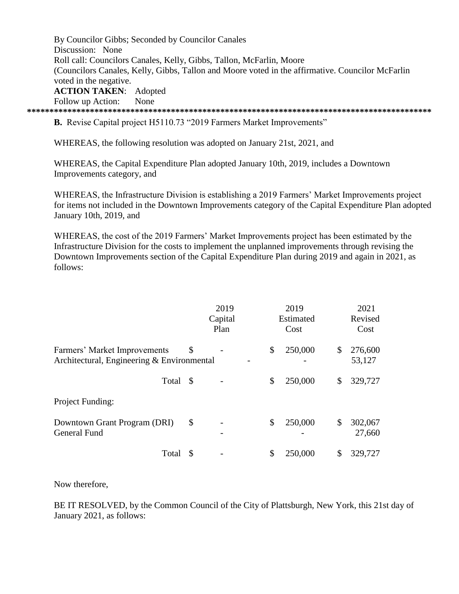By Councilor Gibbs; Seconded by Councilor Canales Discussion: None Roll call: Councilors Canales, Kelly, Gibbs, Tallon, McFarlin, Moore (Councilors Canales, Kelly, Gibbs, Tallon and Moore voted in the affirmative. Councilor McFarlin voted in the negative. **ACTION TAKEN**: Adopted Follow up Action: None

**\*\*\*\*\*\*\*\*\*\*\*\*\*\*\*\*\*\*\*\*\*\*\*\*\*\*\*\*\*\*\*\*\*\*\*\*\*\*\*\*\*\*\*\*\*\*\*\*\*\*\*\*\*\*\*\*\*\*\*\*\*\*\*\*\*\*\*\*\*\*\*\*\*\*\*\*\*\*\*\*\*\*\*\*\*\*\*\*\*\***

**B.** Revise Capital project H5110.73 "2019 Farmers Market Improvements"

WHEREAS, the following resolution was adopted on January 21st, 2021, and

WHEREAS, the Capital Expenditure Plan adopted January 10th, 2019, includes a Downtown Improvements category, and

WHEREAS, the Infrastructure Division is establishing a 2019 Farmers' Market Improvements project for items not included in the Downtown Improvements category of the Capital Expenditure Plan adopted January 10th, 2019, and

WHEREAS, the cost of the 2019 Farmers' Market Improvements project has been estimated by the Infrastructure Division for the costs to implement the unplanned improvements through revising the Downtown Improvements section of the Capital Expenditure Plan during 2019 and again in 2021, as follows:

|                                                                            |    | 2019<br>Capital<br>Plan | 2019<br>Estimated<br>Cost | 2021<br>Revised<br>Cost |
|----------------------------------------------------------------------------|----|-------------------------|---------------------------|-------------------------|
| Farmers' Market Improvements<br>Architectural, Engineering & Environmental | \$ |                         | \$<br>250,000             | \$<br>276,600<br>53,127 |
| Total \$                                                                   |    |                         | \$<br>250,000             | \$<br>329,727           |
| Project Funding:                                                           |    |                         |                           |                         |
| Downtown Grant Program (DRI)<br><b>General Fund</b>                        | \$ |                         | \$<br>250,000             | \$<br>302,067<br>27,660 |
| Total                                                                      | S  |                         | \$<br>250,000             | 329,727                 |

Now therefore,

BE IT RESOLVED, by the Common Council of the City of Plattsburgh, New York, this 21st day of January 2021, as follows: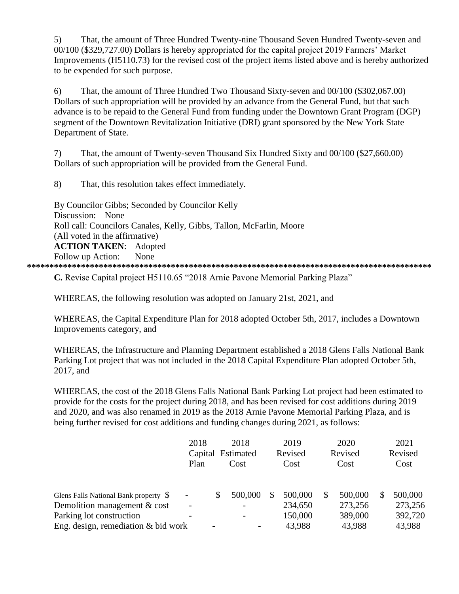5) That, the amount of Three Hundred Twenty-nine Thousand Seven Hundred Twenty-seven and 00/100 (\$329,727.00) Dollars is hereby appropriated for the capital project 2019 Farmers' Market Improvements (H5110.73) for the revised cost of the project items listed above and is hereby authorized to be expended for such purpose.

6) That, the amount of Three Hundred Two Thousand Sixty-seven and 00/100 (\$302,067.00) Dollars of such appropriation will be provided by an advance from the General Fund, but that such advance is to be repaid to the General Fund from funding under the Downtown Grant Program (DGP) segment of the Downtown Revitalization Initiative (DRI) grant sponsored by the New York State Department of State.

7) That, the amount of Twenty-seven Thousand Six Hundred Sixty and 00/100 (\$27,660.00) Dollars of such appropriation will be provided from the General Fund.

8) That, this resolution takes effect immediately.

By Councilor Gibbs; Seconded by Councilor Kelly Discussion: None Roll call: Councilors Canales, Kelly, Gibbs, Tallon, McFarlin, Moore (All voted in the affirmative) **ACTION TAKEN**: Adopted Follow up Action: None **\*\*\*\*\*\*\*\*\*\*\*\*\*\*\*\*\*\*\*\*\*\*\*\*\*\*\*\*\*\*\*\*\*\*\*\*\*\*\*\*\*\*\*\*\*\*\*\*\*\*\*\*\*\*\*\*\*\*\*\*\*\*\*\*\*\*\*\*\*\*\*\*\*\*\*\*\*\*\*\*\*\*\*\*\*\*\*\*\*\***

**C.** Revise Capital project H5110.65 "2018 Arnie Pavone Memorial Parking Plaza"

WHEREAS, the following resolution was adopted on January 21st, 2021, and

WHEREAS, the Capital Expenditure Plan for 2018 adopted October 5th, 2017, includes a Downtown Improvements category, and

WHEREAS, the Infrastructure and Planning Department established a 2018 Glens Falls National Bank Parking Lot project that was not included in the 2018 Capital Expenditure Plan adopted October 5th, 2017, and

WHEREAS, the cost of the 2018 Glens Falls National Bank Parking Lot project had been estimated to provide for the costs for the project during 2018, and has been revised for cost additions during 2019 and 2020, and was also renamed in 2019 as the 2018 Arnie Pavone Memorial Parking Plaza, and is being further revised for cost additions and funding changes during 2021, as follows:

|                                        | 2018 |   | 2018                     |               | 2019    |      | 2020    |      | 2021    |
|----------------------------------------|------|---|--------------------------|---------------|---------|------|---------|------|---------|
|                                        |      |   | Capital Estimated        |               | Revised |      | Revised |      | Revised |
|                                        | Plan |   | Cost                     | Cost          |         | Cost |         | Cost |         |
|                                        |      |   |                          |               |         |      |         |      |         |
| Glens Falls National Bank property \$  |      |   | 500,000                  | <sup>\$</sup> | 500,000 |      | 500,000 | \$   | 500,000 |
| Demolition management & cost           |      |   |                          |               | 234,650 |      | 273,256 |      | 273,256 |
| Parking lot construction               |      |   | $\overline{\phantom{a}}$ |               | 150,000 |      | 389,000 |      | 392,720 |
| Eng. design, remediation $\&$ bid work |      | - | $\overline{\phantom{0}}$ |               | 43,988  |      | 43,988  |      | 43,988  |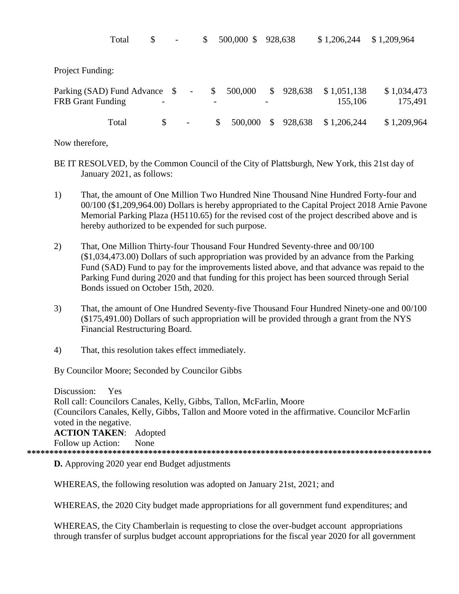|                                                           | Total | \$<br>$\overline{\phantom{a}}$ | \$                       |              | 500,000 \$ |              | 928,638 | \$1,206,244            | \$1,209,964            |
|-----------------------------------------------------------|-------|--------------------------------|--------------------------|--------------|------------|--------------|---------|------------------------|------------------------|
| Project Funding:                                          |       |                                |                          |              |            |              |         |                        |                        |
| Parking (SAD) Fund Advance \$<br><b>FRB</b> Grant Funding |       |                                | $\overline{\phantom{a}}$ | \$           | 500,000    | $\mathbb{S}$ | 928,638 | \$1,051,138<br>155,106 | \$1,034,473<br>175,491 |
|                                                           | Total | \$<br>$\overline{\phantom{a}}$ |                          | $\mathbb{S}$ | 500,000    | $\mathbb{S}$ | 928,638 | \$1,206,244            | \$1,209,964            |

Now therefore,

- BE IT RESOLVED, by the Common Council of the City of Plattsburgh, New York, this 21st day of January 2021, as follows:
- 1) That, the amount of One Million Two Hundred Nine Thousand Nine Hundred Forty-four and 00/100 (\$1,209,964.00) Dollars is hereby appropriated to the Capital Project 2018 Arnie Pavone Memorial Parking Plaza (H5110.65) for the revised cost of the project described above and is hereby authorized to be expended for such purpose.
- 2) That, One Million Thirty-four Thousand Four Hundred Seventy-three and 00/100 (\$1,034,473.00) Dollars of such appropriation was provided by an advance from the Parking Fund (SAD) Fund to pay for the improvements listed above, and that advance was repaid to the Parking Fund during 2020 and that funding for this project has been sourced through Serial Bonds issued on October 15th, 2020.
- 3) That, the amount of One Hundred Seventy-five Thousand Four Hundred Ninety-one and 00/100 (\$175,491.00) Dollars of such appropriation will be provided through a grant from the NYS Financial Restructuring Board.
- 4) That, this resolution takes effect immediately.

By Councilor Moore; Seconded by Councilor Gibbs

Discussion: Yes Roll call: Councilors Canales, Kelly, Gibbs, Tallon, McFarlin, Moore (Councilors Canales, Kelly, Gibbs, Tallon and Moore voted in the affirmative. Councilor McFarlin voted in the negative. **ACTION TAKEN**: Adopted Follow up Action: None **\*\*\*\*\*\*\*\*\*\*\*\*\*\*\*\*\*\*\*\*\*\*\*\*\*\*\*\*\*\*\*\*\*\*\*\*\*\*\*\*\*\*\*\*\*\*\*\*\*\*\*\*\*\*\*\*\*\*\*\*\*\*\*\*\*\*\*\*\*\*\*\*\*\*\*\*\*\*\*\*\*\*\*\*\*\*\*\*\*\***

**D.** Approving 2020 year end Budget adjustments

WHEREAS, the following resolution was adopted on January 21st, 2021; and

WHEREAS, the 2020 City budget made appropriations for all government fund expenditures; and

WHEREAS, the City Chamberlain is requesting to close the over-budget account appropriations through transfer of surplus budget account appropriations for the fiscal year 2020 for all government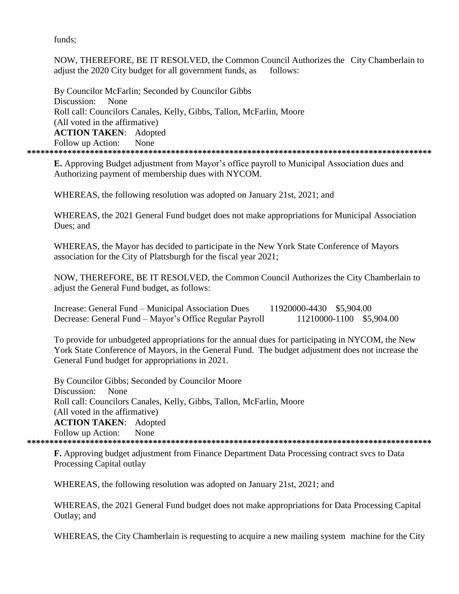funds;

NOW, THEREFORE, BE IT RESOLVED, the Common Council Authorizes the City Chamberlain to adjust the 2020 City budget for all government funds, as follows:

By Councilor McFarlin; Seconded by Councilor Gibbs Discussion: None Roll call: Councilors Canales, Kelly, Gibbs, Tallon, McFarlin, Moore (All voted in the affirmative) **ACTION TAKEN**: Adopted Follow up Action: None **\*\*\*\*\*\*\*\*\*\*\*\*\*\*\*\*\*\*\*\*\*\*\*\*\*\*\*\*\*\*\*\*\*\*\*\*\*\*\*\*\*\*\*\*\*\*\*\*\*\*\*\*\*\*\*\*\*\*\*\*\*\*\*\*\*\*\*\*\*\*\*\*\*\*\*\*\*\*\*\*\*\*\*\*\*\*\*\*\*\***

**E.** Approving Budget adjustment from Mayor's office payroll to Municipal Association dues and Authorizing payment of membership dues with NYCOM.

WHEREAS, the following resolution was adopted on January 21st, 2021; and

WHEREAS, the 2021 General Fund budget does not make appropriations for Municipal Association Dues; and

WHEREAS, the Mayor has decided to participate in the New York State Conference of Mayors association for the City of Plattsburgh for the fiscal year 2021;

NOW, THEREFORE, BE IT RESOLVED, the Common Council Authorizes the City Chamberlain to adjust the General Fund budget, as follows:

| Increase: General Fund – Municipal Association Dues     | 11920000-4430 \$5,904.00 |  |
|---------------------------------------------------------|--------------------------|--|
| Decrease: General Fund – Mayor's Office Regular Payroll | 11210000-1100 \$5,904.00 |  |

To provide for unbudgeted appropriations for the annual dues for participating in NYCOM, the New York State Conference of Mayors, in the General Fund. The budget adjustment does not increase the General Fund budget for appropriations in 2021.

By Councilor Gibbs; Seconded by Councilor Moore Discussion: None Roll call: Councilors Canales, Kelly, Gibbs, Tallon, McFarlin, Moore (All voted in the affirmative) **ACTION TAKEN**: Adopted Follow up Action: None **\*\*\*\*\*\*\*\*\*\*\*\*\*\*\*\*\*\*\*\*\*\*\*\*\*\*\*\*\*\*\*\*\*\*\*\*\*\*\*\*\*\*\*\*\*\*\*\*\*\*\*\*\*\*\*\*\*\*\*\*\*\*\*\*\*\*\*\*\*\*\*\*\*\*\*\*\*\*\*\*\*\*\*\*\*\*\*\*\*\***

**F.** Approving budget adjustment from Finance Department Data Processing contract svcs to Data Processing Capital outlay

WHEREAS, the following resolution was adopted on January 21st, 2021; and

WHEREAS, the 2021 General Fund budget does not make appropriations for Data Processing Capital Outlay; and

WHEREAS, the City Chamberlain is requesting to acquire a new mailing system machine for the City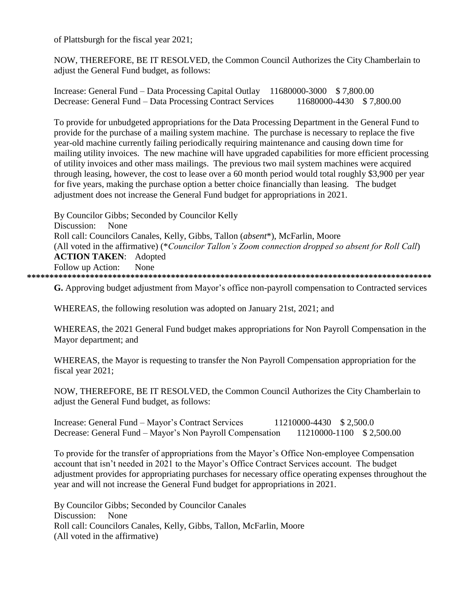of Plattsburgh for the fiscal year 2021;

NOW, THEREFORE, BE IT RESOLVED, the Common Council Authorizes the City Chamberlain to adjust the General Fund budget, as follows:

Increase: General Fund – Data Processing Capital Outlay 11680000-3000 \$ 7,800.00 Decrease: General Fund – Data Processing Contract Services 11680000-4430 \$ 7,800.00

To provide for unbudgeted appropriations for the Data Processing Department in the General Fund to provide for the purchase of a mailing system machine. The purchase is necessary to replace the five year-old machine currently failing periodically requiring maintenance and causing down time for mailing utility invoices. The new machine will have upgraded capabilities for more efficient processing of utility invoices and other mass mailings. The previous two mail system machines were acquired through leasing, however, the cost to lease over a 60 month period would total roughly \$3,900 per year for five years, making the purchase option a better choice financially than leasing. The budget adjustment does not increase the General Fund budget for appropriations in 2021.

By Councilor Gibbs; Seconded by Councilor Kelly Discussion: None Roll call: Councilors Canales, Kelly, Gibbs, Tallon (*absent*\*), McFarlin, Moore (All voted in the affirmative) (\**Councilor Tallon's Zoom connection dropped so absent for Roll Call*) **ACTION TAKEN**: Adopted Follow up Action: None **\*\*\*\*\*\*\*\*\*\*\*\*\*\*\*\*\*\*\*\*\*\*\*\*\*\*\*\*\*\*\*\*\*\*\*\*\*\*\*\*\*\*\*\*\*\*\*\*\*\*\*\*\*\*\*\*\*\*\*\*\*\*\*\*\*\*\*\*\*\*\*\*\*\*\*\*\*\*\*\*\*\*\*\*\*\*\*\*\*\***

**G.** Approving budget adjustment from Mayor's office non-payroll compensation to Contracted services

WHEREAS, the following resolution was adopted on January 21st, 2021; and

WHEREAS, the 2021 General Fund budget makes appropriations for Non Payroll Compensation in the Mayor department; and

WHEREAS, the Mayor is requesting to transfer the Non Payroll Compensation appropriation for the fiscal year 2021;

NOW, THEREFORE, BE IT RESOLVED, the Common Council Authorizes the City Chamberlain to adjust the General Fund budget, as follows:

Increase: General Fund – Mayor's Contract Services 11210000-4430 \$ 2,500.0 Decrease: General Fund – Mayor's Non Payroll Compensation 11210000-1100 \$ 2,500.00

To provide for the transfer of appropriations from the Mayor's Office Non-employee Compensation account that isn't needed in 2021 to the Mayor's Office Contract Services account. The budget adjustment provides for appropriating purchases for necessary office operating expenses throughout the year and will not increase the General Fund budget for appropriations in 2021.

By Councilor Gibbs; Seconded by Councilor Canales Discussion: None Roll call: Councilors Canales, Kelly, Gibbs, Tallon, McFarlin, Moore (All voted in the affirmative)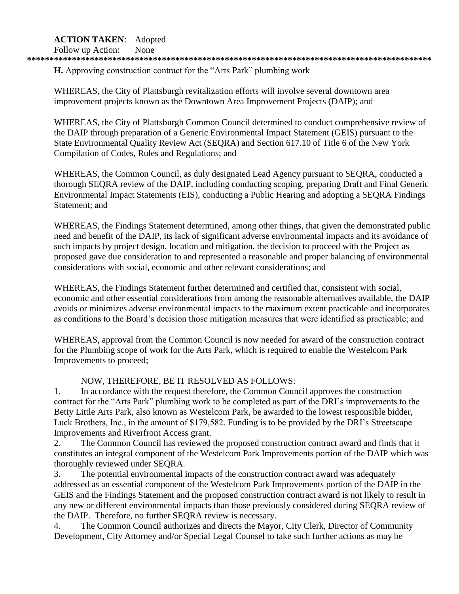# **ACTION TAKEN**: Adopted

Follow up Action: None

### **\*\*\*\*\*\*\*\*\*\*\*\*\*\*\*\*\*\*\*\*\*\*\*\*\*\*\*\*\*\*\*\*\*\*\*\*\*\*\*\*\*\*\*\*\*\*\*\*\*\*\*\*\*\*\*\*\*\*\*\*\*\*\*\*\*\*\*\*\*\*\*\*\*\*\*\*\*\*\*\*\*\*\*\*\*\*\*\*\*\***

**H.** Approving construction contract for the "Arts Park" plumbing work

WHEREAS, the City of Plattsburgh revitalization efforts will involve several downtown area improvement projects known as the Downtown Area Improvement Projects (DAIP); and

WHEREAS, the City of Plattsburgh Common Council determined to conduct comprehensive review of the DAIP through preparation of a Generic Environmental Impact Statement (GEIS) pursuant to the State Environmental Quality Review Act (SEQRA) and Section 617.10 of Title 6 of the New York Compilation of Codes, Rules and Regulations; and

WHEREAS, the Common Council, as duly designated Lead Agency pursuant to SEQRA, conducted a thorough SEQRA review of the DAIP, including conducting scoping, preparing Draft and Final Generic Environmental Impact Statements (EIS), conducting a Public Hearing and adopting a SEQRA Findings Statement; and

WHEREAS, the Findings Statement determined, among other things, that given the demonstrated public need and benefit of the DAIP, its lack of significant adverse environmental impacts and its avoidance of such impacts by project design, location and mitigation, the decision to proceed with the Project as proposed gave due consideration to and represented a reasonable and proper balancing of environmental considerations with social, economic and other relevant considerations; and

WHEREAS, the Findings Statement further determined and certified that, consistent with social, economic and other essential considerations from among the reasonable alternatives available, the DAIP avoids or minimizes adverse environmental impacts to the maximum extent practicable and incorporates as conditions to the Board's decision those mitigation measures that were identified as practicable; and

WHEREAS, approval from the Common Council is now needed for award of the construction contract for the Plumbing scope of work for the Arts Park, which is required to enable the Westelcom Park Improvements to proceed;

# NOW, THEREFORE, BE IT RESOLVED AS FOLLOWS:

1. In accordance with the request therefore, the Common Council approves the construction contract for the "Arts Park" plumbing work to be completed as part of the DRI's improvements to the Betty Little Arts Park, also known as Westelcom Park, be awarded to the lowest responsible bidder, Luck Brothers, Inc., in the amount of \$179,582. Funding is to be provided by the DRI's Streetscape Improvements and Riverfront Access grant.

2. The Common Council has reviewed the proposed construction contract award and finds that it constitutes an integral component of the Westelcom Park Improvements portion of the DAIP which was thoroughly reviewed under SEQRA.

3. The potential environmental impacts of the construction contract award was adequately addressed as an essential component of the Westelcom Park Improvements portion of the DAIP in the GEIS and the Findings Statement and the proposed construction contract award is not likely to result in any new or different environmental impacts than those previously considered during SEQRA review of the DAIP. Therefore, no further SEQRA review is necessary.

4. The Common Council authorizes and directs the Mayor, City Clerk, Director of Community Development, City Attorney and/or Special Legal Counsel to take such further actions as may be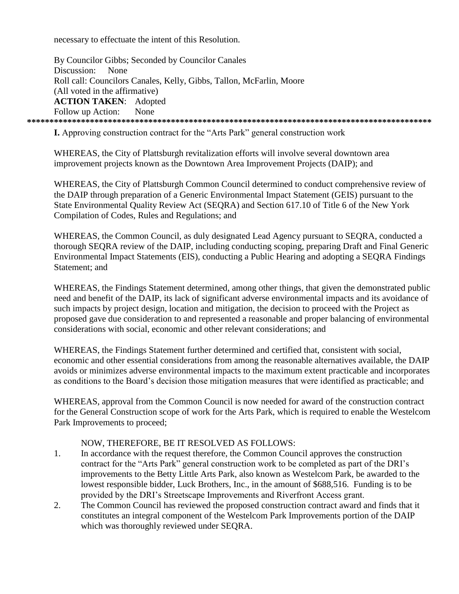necessary to effectuate the intent of this Resolution.

By Councilor Gibbs; Seconded by Councilor Canales Discussion: None Roll call: Councilors Canales, Kelly, Gibbs, Tallon, McFarlin, Moore (All voted in the affirmative) **ACTION TAKEN: Adopted** Follow up Action: **None** 

**I.** Approving construction contract for the "Arts Park" general construction work

WHEREAS, the City of Plattsburgh revitalization efforts will involve several downtown area improvement projects known as the Downtown Area Improvement Projects (DAIP); and

WHEREAS, the City of Plattsburgh Common Council determined to conduct comprehensive review of the DAIP through preparation of a Generic Environmental Impact Statement (GEIS) pursuant to the State Environmental Quality Review Act (SEORA) and Section 617.10 of Title 6 of the New York Compilation of Codes, Rules and Regulations; and

WHEREAS, the Common Council, as duly designated Lead Agency pursuant to SEQRA, conducted a thorough SEQRA review of the DAIP, including conducting scoping, preparing Draft and Final Generic Environmental Impact Statements (EIS), conducting a Public Hearing and adopting a SEQRA Findings Statement: and

WHEREAS, the Findings Statement determined, among other things, that given the demonstrated public need and benefit of the DAIP, its lack of significant adverse environmental impacts and its avoidance of such impacts by project design, location and mitigation, the decision to proceed with the Project as proposed gave due consideration to and represented a reasonable and proper balancing of environmental considerations with social, economic and other relevant considerations; and

WHEREAS, the Findings Statement further determined and certified that, consistent with social, economic and other essential considerations from among the reasonable alternatives available, the DAIP avoids or minimizes adverse environmental impacts to the maximum extent practicable and incorporates as conditions to the Board's decision those mitigation measures that were identified as practicable; and

WHEREAS, approval from the Common Council is now needed for award of the construction contract for the General Construction scope of work for the Arts Park, which is required to enable the Westelcom Park Improvements to proceed;

# NOW, THEREFORE, BE IT RESOLVED AS FOLLOWS:

- $1<sub>1</sub>$ In accordance with the request therefore, the Common Council approves the construction contract for the "Arts Park" general construction work to be completed as part of the DRI's improvements to the Betty Little Arts Park, also known as Westelcom Park, be awarded to the lowest responsible bidder, Luck Brothers, Inc., in the amount of \$688,516. Funding is to be provided by the DRI's Streetscape Improvements and Riverfront Access grant.
- The Common Council has reviewed the proposed construction contract award and finds that it  $2<sub>1</sub>$ constitutes an integral component of the Westelcom Park Improvements portion of the DAIP which was thoroughly reviewed under SEQRA.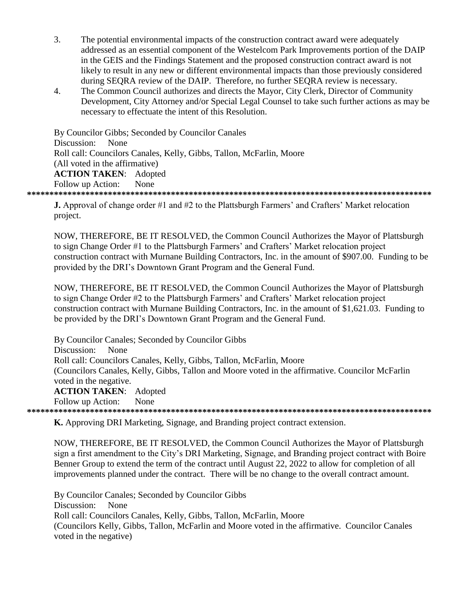- $\overline{3}$ . The potential environmental impacts of the construction contract award were adequately addressed as an essential component of the Westelcom Park Improvements portion of the DAIP in the GEIS and the Findings Statement and the proposed construction contract award is not likely to result in any new or different environmental impacts than those previously considered during SEORA review of the DAIP. Therefore, no further SEORA review is necessary.
- The Common Council authorizes and directs the Mayor, City Clerk, Director of Community  $\overline{4}$ . Development, City Attorney and/or Special Legal Counsel to take such further actions as may be necessary to effectuate the intent of this Resolution.

By Councilor Gibbs; Seconded by Councilor Canales Discussion: None Roll call: Councilors Canales, Kelly, Gibbs, Tallon, McFarlin, Moore (All voted in the affirmative) **ACTION TAKEN:** Adopted Follow up Action: None 

**J.** Approval of change order #1 and #2 to the Plattsburgh Farmers' and Crafters' Market relocation project.

NOW, THEREFORE, BE IT RESOLVED, the Common Council Authorizes the Mayor of Plattsburgh to sign Change Order #1 to the Plattsburgh Farmers' and Crafters' Market relocation project construction contract with Murnane Building Contractors, Inc. in the amount of \$907.00. Funding to be provided by the DRI's Downtown Grant Program and the General Fund.

NOW, THEREFORE, BE IT RESOLVED, the Common Council Authorizes the Mayor of Plattsburgh to sign Change Order #2 to the Plattsburgh Farmers' and Crafters' Market relocation project construction contract with Murnane Building Contractors, Inc. in the amount of \$1,621.03. Funding to be provided by the DRI's Downtown Grant Program and the General Fund.

By Councilor Canales; Seconded by Councilor Gibbs Discussion: None Roll call: Councilors Canales, Kelly, Gibbs, Tallon, McFarlin, Moore (Councilors Canales, Kelly, Gibbs, Tallon and Moore voted in the affirmative. Councilor McFarlin voted in the negative. **ACTION TAKEN:** Adopted Follow up Action: None 

**K.** Approving DRI Marketing, Signage, and Branding project contract extension.

NOW, THEREFORE, BE IT RESOLVED, the Common Council Authorizes the Mayor of Plattsburgh sign a first amendment to the City's DRI Marketing, Signage, and Branding project contract with Boire Benner Group to extend the term of the contract until August 22, 2022 to allow for completion of all improvements planned under the contract. There will be no change to the overall contract amount.

By Councilor Canales; Seconded by Councilor Gibbs Discussion: **None** Roll call: Councilors Canales, Kelly, Gibbs, Tallon, McFarlin, Moore (Councilors Kelly, Gibbs, Tallon, McFarlin and Moore voted in the affirmative. Councilor Canales voted in the negative)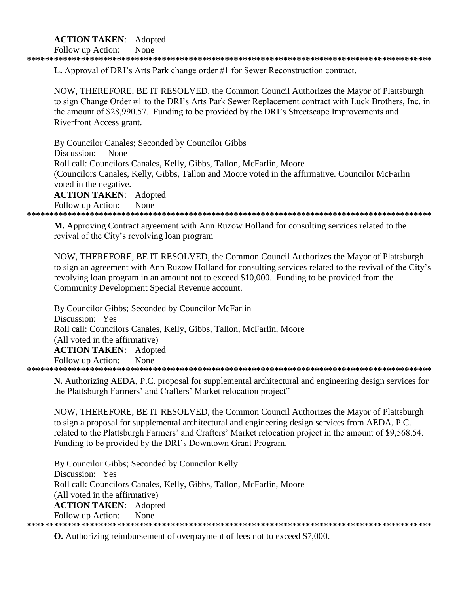# **ACTION TAKEN:** Adopted

Follow up Action: None

**L.** Approval of DRI's Arts Park change order #1 for Sewer Reconstruction contract.

NOW, THEREFORE, BE IT RESOLVED, the Common Council Authorizes the Mayor of Plattsburgh to sign Change Order #1 to the DRI's Arts Park Sewer Replacement contract with Luck Brothers, Inc. in the amount of \$28,990.57. Funding to be provided by the DRI's Streetscape Improvements and Riverfront Access grant.

By Councilor Canales; Seconded by Councilor Gibbs Discussion: None Roll call: Councilors Canales, Kelly, Gibbs, Tallon, McFarlin, Moore (Councilors Canales, Kelly, Gibbs, Tallon and Moore voted in the affirmative. Councilor McFarlin voted in the negative. **ACTION TAKEN:** Adopted Follow up Action: None 

M. Approving Contract agreement with Ann Ruzow Holland for consulting services related to the revival of the City's revolving loan program

NOW, THEREFORE, BE IT RESOLVED, the Common Council Authorizes the Mayor of Plattsburgh to sign an agreement with Ann Ruzow Holland for consulting services related to the revival of the City's revolving loan program in an amount not to exceed \$10,000. Funding to be provided from the Community Development Special Revenue account.

By Councilor Gibbs; Seconded by Councilor McFarlin Discussion: Yes Roll call: Councilors Canales, Kelly, Gibbs, Tallon, McFarlin, Moore (All voted in the affirmative) **ACTION TAKEN: Adopted** Follow up Action: None 

N. Authorizing AEDA, P.C. proposal for supplemental architectural and engineering design services for the Plattsburgh Farmers' and Crafters' Market relocation project"

NOW, THEREFORE, BE IT RESOLVED, the Common Council Authorizes the Mayor of Plattsburgh to sign a proposal for supplemental architectural and engineering design services from AEDA, P.C. related to the Plattsburgh Farmers' and Crafters' Market relocation project in the amount of \$9,568.54. Funding to be provided by the DRI's Downtown Grant Program.

By Councilor Gibbs; Seconded by Councilor Kelly Discussion: Yes Roll call: Councilors Canales, Kelly, Gibbs, Tallon, McFarlin, Moore (All voted in the affirmative) **ACTION TAKEN:** Adopted Follow up Action: None 

**O.** Authorizing reimbursement of overpayment of fees not to exceed \$7,000.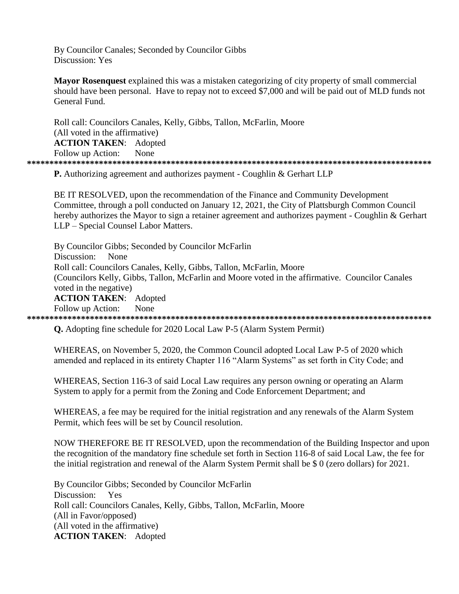By Councilor Canales; Seconded by Councilor Gibbs Discussion: Yes

**Mayor Rosenquest** explained this was a mistaken categorizing of city property of small commercial should have been personal. Have to repay not to exceed \$7,000 and will be paid out of MLD funds not General Fund

Roll call: Councilors Canales, Kelly, Gibbs, Tallon, McFarlin, Moore (All voted in the affirmative) **ACTION TAKEN:** Adopted Follow up Action: None 

**P.** Authorizing agreement and authorizes payment - Coughlin & Gerhart LLP

BE IT RESOLVED, upon the recommendation of the Finance and Community Development Committee, through a poll conducted on January 12, 2021, the City of Plattsburgh Common Council hereby authorizes the Mayor to sign a retainer agreement and authorizes payment - Coughlin & Gerhart LLP - Special Counsel Labor Matters.

By Councilor Gibbs; Seconded by Councilor McFarlin None Discussion: Roll call: Councilors Canales, Kelly, Gibbs, Tallon, McFarlin, Moore (Councilors Kelly, Gibbs, Tallon, McFarlin and Moore voted in the affirmative. Councilor Canales voted in the negative) **ACTION TAKEN:** Adopted Follow up Action: None 

**O.** Adopting fine schedule for 2020 Local Law P-5 (Alarm System Permit)

WHEREAS, on November 5, 2020, the Common Council adopted Local Law P-5 of 2020 which amended and replaced in its entirety Chapter 116 "Alarm Systems" as set forth in City Code; and

WHEREAS, Section 116-3 of said Local Law requires any person owning or operating an Alarm System to apply for a permit from the Zoning and Code Enforcement Department; and

WHEREAS, a fee may be required for the initial registration and any renewals of the Alarm System Permit, which fees will be set by Council resolution.

NOW THEREFORE BE IT RESOLVED, upon the recommendation of the Building Inspector and upon the recognition of the mandatory fine schedule set forth in Section 116-8 of said Local Law, the fee for the initial registration and renewal of the Alarm System Permit shall be \$0 (zero dollars) for 2021.

By Councilor Gibbs; Seconded by Councilor McFarlin Discussion: Yes Roll call: Councilors Canales, Kelly, Gibbs, Tallon, McFarlin, Moore (All in Favor/opposed) (All voted in the affirmative) **ACTION TAKEN: Adopted**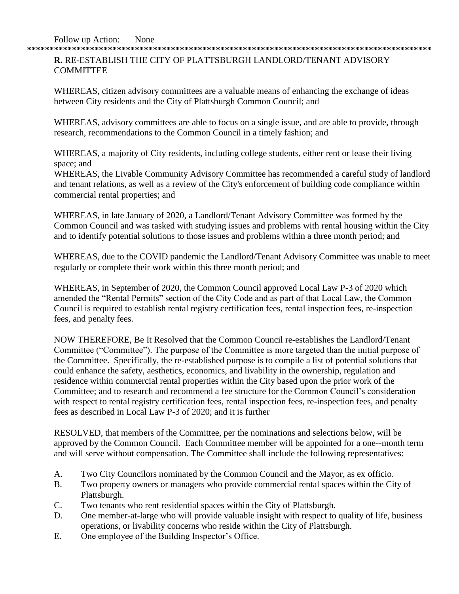**\*\*\*\*\*\*\*\*\*\*\*\*\*\*\*\*\*\*\*\*\*\*\*\*\*\*\*\*\*\*\*\*\*\*\*\*\*\*\*\*\*\*\*\*\*\*\*\*\*\*\*\*\*\*\*\*\*\*\*\*\*\*\*\*\*\*\*\*\*\*\*\*\*\*\*\*\*\*\*\*\*\*\*\*\*\*\*\*\*\* R.** RE-ESTABLISH THE CITY OF PLATTSBURGH LANDLORD/TENANT ADVISORY

## **COMMITTEE**

WHEREAS, citizen advisory committees are a valuable means of enhancing the exchange of ideas between City residents and the City of Plattsburgh Common Council; and

WHEREAS, advisory committees are able to focus on a single issue, and are able to provide, through research, recommendations to the Common Council in a timely fashion; and

WHEREAS, a majority of City residents, including college students, either rent or lease their living space; and

WHEREAS, the Livable Community Advisory Committee has recommended a careful study of landlord and tenant relations, as well as a review of the City's enforcement of building code compliance within commercial rental properties; and

WHEREAS, in late January of 2020, a Landlord/Tenant Advisory Committee was formed by the Common Council and was tasked with studying issues and problems with rental housing within the City and to identify potential solutions to those issues and problems within a three month period; and

WHEREAS, due to the COVID pandemic the Landlord/Tenant Advisory Committee was unable to meet regularly or complete their work within this three month period; and

WHEREAS, in September of 2020, the Common Council approved Local Law P-3 of 2020 which amended the "Rental Permits" section of the City Code and as part of that Local Law, the Common Council is required to establish rental registry certification fees, rental inspection fees, re-inspection fees, and penalty fees.

NOW THEREFORE, Be It Resolved that the Common Council re-establishes the Landlord/Tenant Committee ("Committee"). The purpose of the Committee is more targeted than the initial purpose of the Committee. Specifically, the re-established purpose is to compile a list of potential solutions that could enhance the safety, aesthetics, economics, and livability in the ownership, regulation and residence within commercial rental properties within the City based upon the prior work of the Committee; and to research and recommend a fee structure for the Common Council's consideration with respect to rental registry certification fees, rental inspection fees, re-inspection fees, and penalty fees as described in Local Law P-3 of 2020; and it is further

RESOLVED, that members of the Committee, per the nominations and selections below, will be approved by the Common Council. Each Committee member will be appointed for a one--month term and will serve without compensation. The Committee shall include the following representatives:

- A. Two City Councilors nominated by the Common Council and the Mayor, as ex officio.
- B. Two property owners or managers who provide commercial rental spaces within the City of Plattsburgh.
- C. Two tenants who rent residential spaces within the City of Plattsburgh.
- D. One member-at-large who will provide valuable insight with respect to quality of life, business operations, or livability concerns who reside within the City of Plattsburgh.
- E. One employee of the Building Inspector's Office.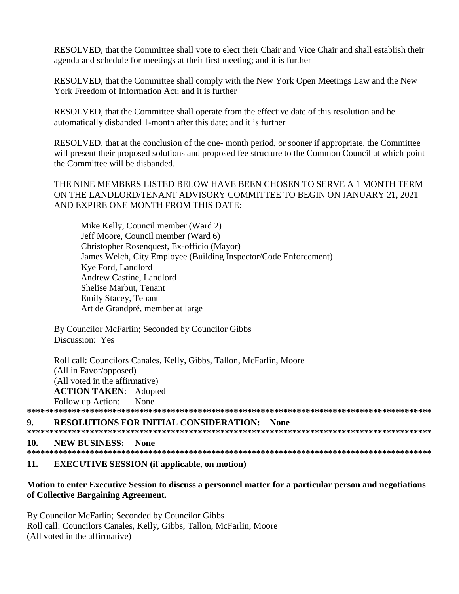RESOLVED, that the Committee shall vote to elect their Chair and Vice Chair and shall establish their agenda and schedule for meetings at their first meeting; and it is further

RESOLVED, that the Committee shall comply with the New York Open Meetings Law and the New York Freedom of Information Act: and it is further

RESOLVED, that the Committee shall operate from the effective date of this resolution and be automatically disbanded 1-month after this date; and it is further

RESOLVED, that at the conclusion of the one- month period, or sooner if appropriate, the Committee will present their proposed solutions and proposed fee structure to the Common Council at which point the Committee will be disbanded.

# THE NINE MEMBERS LISTED BELOW HAVE BEEN CHOSEN TO SERVE A 1 MONTH TERM ON THE LANDLORD/TENANT ADVISORY COMMITTEE TO BEGIN ON JANUARY 21, 2021 AND EXPIRE ONE MONTH FROM THIS DATE:

Mike Kelly, Council member (Ward 2) Jeff Moore, Council member (Ward 6) Christopher Rosenquest, Ex-officio (Mayor) James Welch, City Employee (Building Inspector/Code Enforcement) Kve Ford, Landlord Andrew Castine, Landlord **Shelise Marbut, Tenant Emily Stacey, Tenant** Art de Grandpré, member at large

By Councilor McFarlin; Seconded by Councilor Gibbs Discussion: Yes

Roll call: Councilors Canales, Kelly, Gibbs, Tallon, McFarlin, Moore (All in Favor/opposed) (All voted in the affirmative) **ACTION TAKEN: Adopted** Follow up Action: None

### $\mathbf 9$ **RESOLUTIONS FOR INITIAL CONSIDERATION: None**

#### 10. **NEW BUSINESS:** None

| ---- | . |
|------|---|

#### $11.$ **EXECUTIVE SESSION** (if applicable, on motion)

# Motion to enter Executive Session to discuss a personnel matter for a particular person and negotiations of Collective Bargaining Agreement.

By Councilor McFarlin; Seconded by Councilor Gibbs Roll call: Councilors Canales, Kelly, Gibbs, Tallon, McFarlin, Moore (All voted in the affirmative)